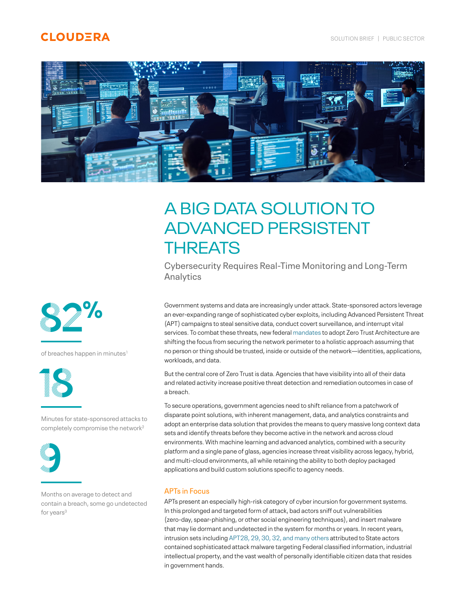# **CLOUDERA**



# A BIG DATA SOLUTION TO ADVANCED PERSISTENT **THREATS**

Cybersecurity Requires Real-Time Monitoring and Long-Term Analytics

Government systems and data are increasingly under attack. State-sponsored actors leverage an ever-expanding range of sophisticated cyber exploits, including Advanced Persistent Threat (APT) campaigns to steal sensitive data, conduct covert surveillance, and interrupt vital services. To combat these threats, new federal mandates to adopt Zero Trust Architecture are shifting the focus from securing the network perimeter to a holistic approach assuming that no person or thing should be trusted, inside or outside of the network—identities, applications, workloads, and data.

But the central core of Zero Trust is data. Agencies that have visibility into all of their data and related activity increase positive threat detection and remediation outcomes in case of a breach.

To secure operations, government agencies need to shift reliance from a patchwork of disparate point solutions, with inherent management, data, and analytics constraints and adopt an enterprise data solution that provides the means to query massive long context data sets and identify threats before they become active in the network and across cloud environments. With machine learning and advanced analytics, combined with a security platform and a single pane of glass, agencies increase threat visibility across legacy, hybrid, and multi-cloud environments, all while retaining the ability to both deploy packaged applications and build custom solutions specific to agency needs.

# APTs in Focus

APTs present an especially high-risk category of cyber incursion for government systems. In this prolonged and targeted form of attack, bad actors sniff out vulnerabilities (zero-day, spear-phishing, or other social engineering techniques), and insert malware that may lie dormant and undetected in the system for months or years. In recent years, intrusion sets including APT28, 29, 30, 32, and many others attributed to State actors contained sophisticated attack malware targeting Federal classified information, industrial intellectual property, and the vast wealth of personally identifiable citizen data that resides in government hands.



of breaches happen in minutes<sup>1</sup>



Minutes for state-sponsored attacks to completely compromise the network2



Months on average to detect and contain a breach, some go undetected for years<sup>3</sup>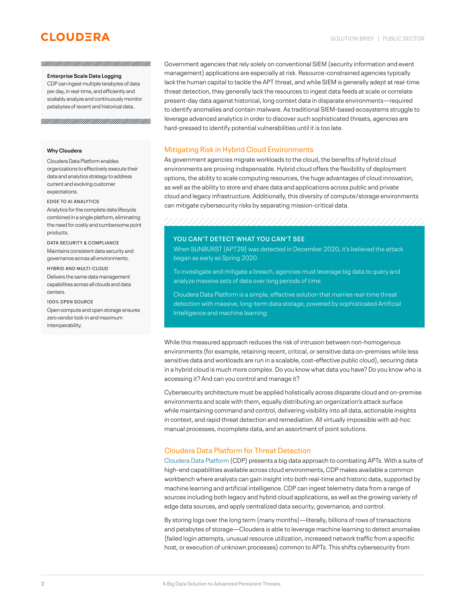# **CLOUDERA**

#### 

## **Enterprise Scale Data Logging**

CDP can ingest multiple terabytes of data per day, in real-time, and efficiently and scalably analyze and continuously monitor petabytes of recent and historical data.

### **Why Cloudera**

Cloudera Data Platform enables organizations to effectively execute their data and analytics strategy to address current and evolving customer expectations.

#### EDGE TO AI ANALYTICS

Analytics for the complete data lifecycle combined in a single platform, eliminating the need for costly and cumbersome point products.

# DATA SECURITY & COMPLIANCE

Maintains consistent data security and governance across all environments.

### HYBRID AND MULTI-CLOUD

Delivers the same data management capabilities across all clouds and data centers.

#### 100% OPEN SOURCE

Open compute and open storage ensures zero vendor lock-in and maximum interoperability.

Government agencies that rely solely on conventional SIEM (security information and event management) applications are especially at risk. Resource-constrained agencies typically lack the human capital to tackle the APT threat, and while SIEM is generally adept at real-time threat detection, they generally lack the resources to ingest data feeds at scale or correlate present-day data against historical, long context data in disparate environments—required to identify anomalies and contain malware. As traditional SIEM-based ecosystems struggle to leverage advanced analytics in order to discover such sophisticated threats, agencies are hard-pressed to identify potential vulnerabilities until it is too late.

# Mitigating Risk in Hybrid Cloud Environments

As government agencies migrate workloads to the cloud, the benefits of hybrid cloud environments are proving indispensable. Hybrid cloud offers the flexibility of deployment options, the ability to scale computing resources, the huge advantages of cloud innovation, as well as the ability to store and share data and applications across public and private cloud and legacy infrastructure. Additionally, this diversity of compute/storage environments can mitigate cybersecurity risks by separating mission-critical data.

# **YOU CAN'T DETECT WHAT YOU CAN'T SEE**

When SUNBURST (APT29) was detected in December 2020, it's believed the attack began as early as Spring 2020.

To investigate and mitigate a breach, agencies must leverage big data to query and analyze massive sets of data over long periods of time.

Cloudera Data Platform is a simple, effective solution that marries real-time threat detection with massive, long-term data storage, powered by sophisticated Artificial Intelligence and machine learning.

While this measured approach reduces the risk of intrusion between non-homogenous environments (for example, retaining recent, critical, or sensitive data on-premises while less sensitive data and workloads are run in a scalable, cost-effective public cloud), securing data in a hybrid cloud is much more complex. Do you know what data you have? Do you know who is accessing it? And can you control and manage it?

Cybersecurity architecture must be applied holistically across disparate cloud and on-premise environments and scale with them, equally distributing an organization's attack surface while maintaining command and control, delivering visibility into all data, actionable insights in context, and rapid threat detection and remediation. All virtually impossible with ad-hoc manual processes, incomplete data, and an assortment of point solutions.

# Cloudera Data Platform for Threat Detection

Cloudera Data Platform (CDP) presents a big data approach to combating APTs. With a suite of high-end capabilities available across cloud environments, CDP makes available a common workbench where analysts can gain insight into both real-time and historic data, supported by machine learning and artificial intelligence. CDP can ingest telemetry data from a range of sources including both legacy and hybrid cloud applications, as well as the growing variety of edge data sources, and apply centralized data security, governance, and control.

By storing logs over the long term (many months)—literally, billions of rows of transactions and petabytes of storage—Cloudera is able to leverage machine learning to detect anomalies (failed login attempts, unusual resource utilization, increased network traffic from a specific host, or execution of unknown processes) common to APTs. This shifts cybersecurity from